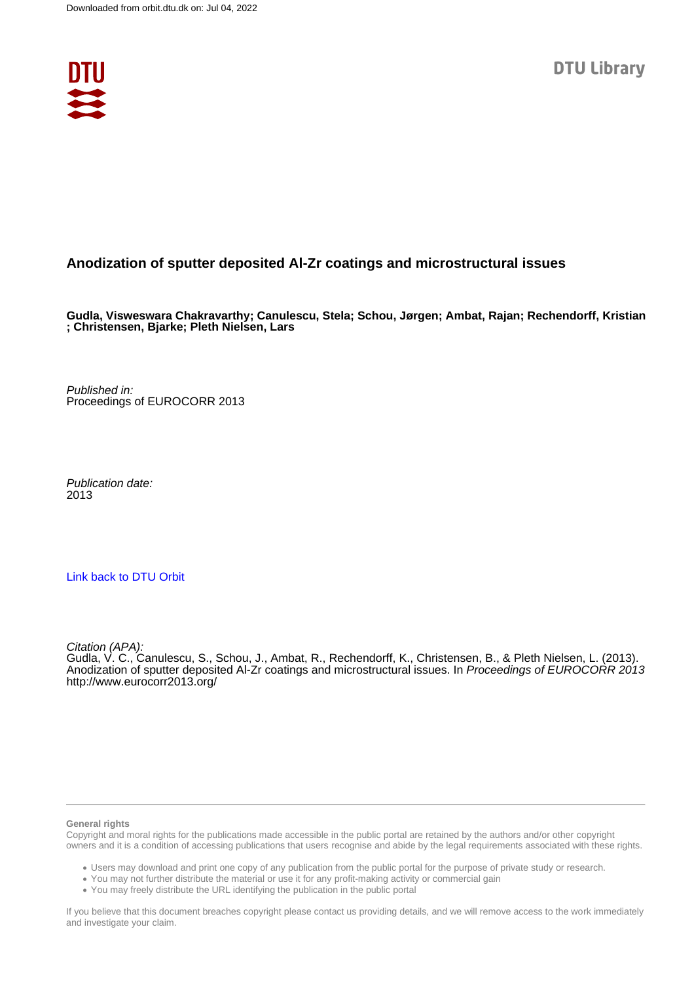

#### **Anodization of sputter deposited Al-Zr coatings and microstructural issues**

**Gudla, Visweswara Chakravarthy; Canulescu, Stela; Schou, Jørgen; Ambat, Rajan; Rechendorff, Kristian ; Christensen, Bjarke; Pleth Nielsen, Lars**

Published in: Proceedings of EUROCORR 2013

Publication date: 2013

#### [Link back to DTU Orbit](https://orbit.dtu.dk/en/publications/02adee89-1e3a-464c-9b6b-9af294654656)

Citation (APA):

Gudla, V. C., Canulescu, S., Schou, J., Ambat, R., Rechendorff, K., Christensen, B., & Pleth Nielsen, L. (2013). Anodization of sputter deposited Al-Zr coatings and microstructural issues. In Proceedings of EUROCORR 2013 <http://www.eurocorr2013.org/>

#### **General rights**

Copyright and moral rights for the publications made accessible in the public portal are retained by the authors and/or other copyright owners and it is a condition of accessing publications that users recognise and abide by the legal requirements associated with these rights.

Users may download and print one copy of any publication from the public portal for the purpose of private study or research.

- You may not further distribute the material or use it for any profit-making activity or commercial gain
- You may freely distribute the URL identifying the publication in the public portal

If you believe that this document breaches copyright please contact us providing details, and we will remove access to the work immediately and investigate your claim.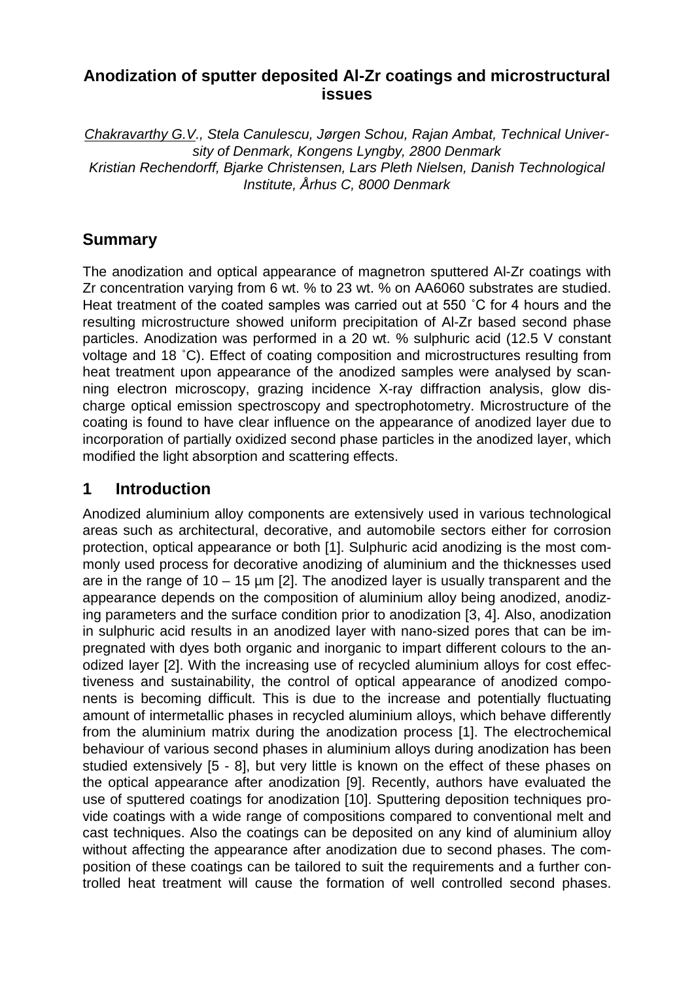# **Anodization of sputter deposited Al-Zr coatings and microstructural issues**

*Chakravarthy G.V., Stela Canulescu, Jørgen Schou, Rajan Ambat, Technical University of Denmark, Kongens Lyngby, 2800 Denmark Kristian Rechendorff, Bjarke Christensen, Lars Pleth Nielsen, Danish Technological Institute, Århus C, 8000 Denmark*

# **Summary**

The anodization and optical appearance of magnetron sputtered Al-Zr coatings with Zr concentration varying from 6 wt. % to 23 wt. % on AA6060 substrates are studied. Heat treatment of the coated samples was carried out at 550 ˚C for 4 hours and the resulting microstructure showed uniform precipitation of Al-Zr based second phase particles. Anodization was performed in a 20 wt. % sulphuric acid (12.5 V constant voltage and 18 ˚C). Effect of coating composition and microstructures resulting from heat treatment upon appearance of the anodized samples were analysed by scanning electron microscopy, grazing incidence X-ray diffraction analysis, glow discharge optical emission spectroscopy and spectrophotometry. Microstructure of the coating is found to have clear influence on the appearance of anodized layer due to incorporation of partially oxidized second phase particles in the anodized layer, which modified the light absorption and scattering effects.

# **1 Introduction**

Anodized aluminium alloy components are extensively used in various technological areas such as architectural, decorative, and automobile sectors either for corrosion protection, optical appearance or both [1]. Sulphuric acid anodizing is the most commonly used process for decorative anodizing of aluminium and the thicknesses used are in the range of  $10 - 15$  µm [2]. The anodized layer is usually transparent and the appearance depends on the composition of aluminium alloy being anodized, anodizing parameters and the surface condition prior to anodization [3, 4]. Also, anodization in sulphuric acid results in an anodized layer with nano-sized pores that can be impregnated with dyes both organic and inorganic to impart different colours to the anodized layer [2]. With the increasing use of recycled aluminium alloys for cost effectiveness and sustainability, the control of optical appearance of anodized components is becoming difficult. This is due to the increase and potentially fluctuating amount of intermetallic phases in recycled aluminium alloys, which behave differently from the aluminium matrix during the anodization process [1]. The electrochemical behaviour of various second phases in aluminium alloys during anodization has been studied extensively [5 - 8], but very little is known on the effect of these phases on the optical appearance after anodization [9]. Recently, authors have evaluated the use of sputtered coatings for anodization [10]. Sputtering deposition techniques provide coatings with a wide range of compositions compared to conventional melt and cast techniques. Also the coatings can be deposited on any kind of aluminium alloy without affecting the appearance after anodization due to second phases. The composition of these coatings can be tailored to suit the requirements and a further controlled heat treatment will cause the formation of well controlled second phases.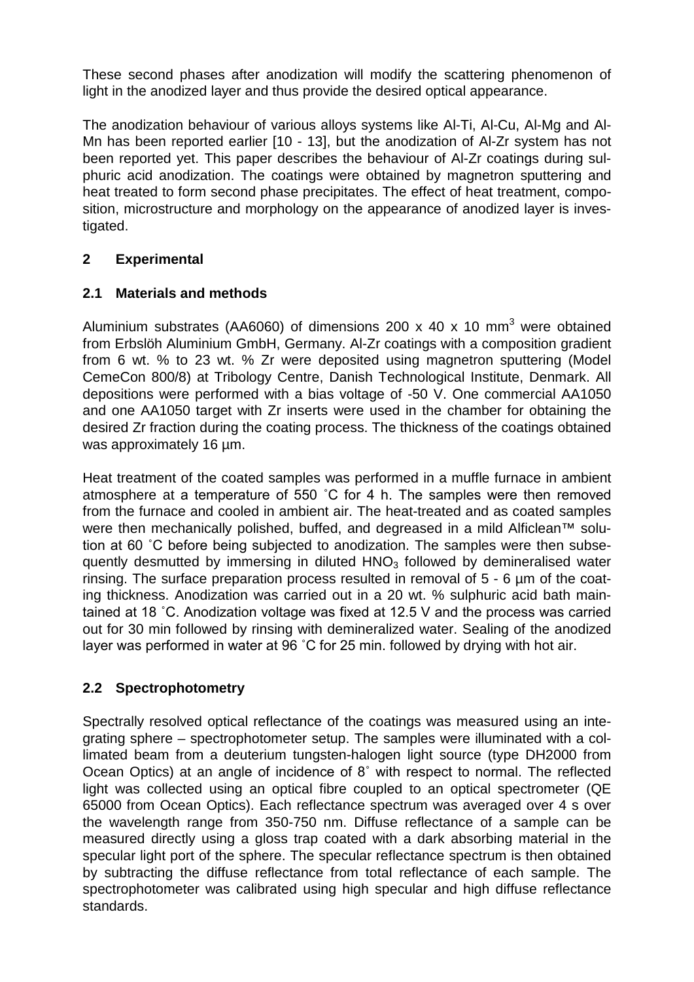These second phases after anodization will modify the scattering phenomenon of light in the anodized layer and thus provide the desired optical appearance.

The anodization behaviour of various alloys systems like Al-Ti, Al-Cu, Al-Mg and Al-Mn has been reported earlier [10 - 13], but the anodization of Al-Zr system has not been reported yet. This paper describes the behaviour of Al-Zr coatings during sulphuric acid anodization. The coatings were obtained by magnetron sputtering and heat treated to form second phase precipitates. The effect of heat treatment, composition, microstructure and morphology on the appearance of anodized layer is investigated.

# **2 Experimental**

## **2.1 Materials and methods**

Aluminium substrates (AA6060) of dimensions 200 x 40 x 10 mm<sup>3</sup> were obtained from Erbslöh Aluminium GmbH, Germany. Al-Zr coatings with a composition gradient from 6 wt. % to 23 wt. % Zr were deposited using magnetron sputtering (Model CemeCon 800/8) at Tribology Centre, Danish Technological Institute, Denmark. All depositions were performed with a bias voltage of -50 V. One commercial AA1050 and one AA1050 target with Zr inserts were used in the chamber for obtaining the desired Zr fraction during the coating process. The thickness of the coatings obtained was approximately 16  $\mu$ m.

Heat treatment of the coated samples was performed in a muffle furnace in ambient atmosphere at a temperature of 550 ˚C for 4 h. The samples were then removed from the furnace and cooled in ambient air. The heat-treated and as coated samples were then mechanically polished, buffed, and degreased in a mild Alficlean<sup>™</sup> solution at 60 ˚C before being subjected to anodization. The samples were then subsequently desmutted by immersing in diluted  $HNO<sub>3</sub>$  followed by demineralised water rinsing. The surface preparation process resulted in removal of 5 - 6 µm of the coating thickness. Anodization was carried out in a 20 wt. % sulphuric acid bath maintained at 18 ˚C. Anodization voltage was fixed at 12.5 V and the process was carried out for 30 min followed by rinsing with demineralized water. Sealing of the anodized layer was performed in water at 96 ˚C for 25 min. followed by drying with hot air.

# **2.2 Spectrophotometry**

Spectrally resolved optical reflectance of the coatings was measured using an integrating sphere – spectrophotometer setup. The samples were illuminated with a collimated beam from a deuterium tungsten-halogen light source (type DH2000 from Ocean Optics) at an angle of incidence of 8˚ with respect to normal. The reflected light was collected using an optical fibre coupled to an optical spectrometer (QE 65000 from Ocean Optics). Each reflectance spectrum was averaged over 4 s over the wavelength range from 350-750 nm. Diffuse reflectance of a sample can be measured directly using a gloss trap coated with a dark absorbing material in the specular light port of the sphere. The specular reflectance spectrum is then obtained by subtracting the diffuse reflectance from total reflectance of each sample. The spectrophotometer was calibrated using high specular and high diffuse reflectance standards.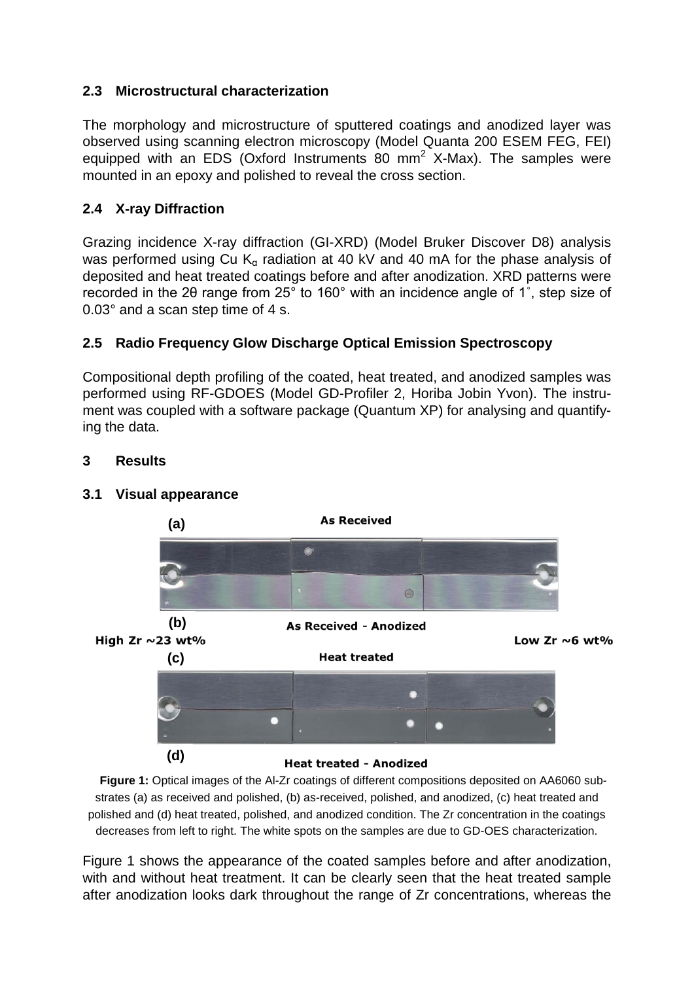### **2.3 Microstructural characterization**

The morphology and microstructure of sputtered coatings and anodized layer was observed using scanning electron microscopy (Model Quanta 200 ESEM FEG, FEI) equipped with an EDS (Oxford Instruments 80 mm<sup>2</sup> X-Max). The samples were mounted in an epoxy and polished to reveal the cross section.

### **2.4 X-ray Diffraction**

Grazing incidence X-ray diffraction (GI-XRD) (Model Bruker Discover D8) analysis was performed using Cu  $K_{\alpha}$  radiation at 40 kV and 40 mA for the phase analysis of deposited and heat treated coatings before and after anodization. XRD patterns were recorded in the 2θ range from 25° to 160° with an incidence angle of 1˚, step size of 0.03° and a scan step time of 4 s.

### **2.5 Radio Frequency Glow Discharge Optical Emission Spectroscopy**

Compositional depth profiling of the coated, heat treated, and anodized samples was performed using RF-GDOES (Model GD-Profiler 2, Horiba Jobin Yvon). The instrument was coupled with a software package (Quantum XP) for analysing and quantifying the data.

#### **3 Results**

#### **3.1 Visual appearance**



**Figure 1:** Optical images of the Al-Zr coatings of different compositions deposited on AA6060 substrates (a) as received and polished, (b) as-received, polished, and anodized, (c) heat treated and polished and (d) heat treated, polished, and anodized condition. The Zr concentration in the coatings decreases from left to right. The white spots on the samples are due to GD-OES characterization.

Figure 1 shows the appearance of the coated samples before and after anodization, with and without heat treatment. It can be clearly seen that the heat treated sample after anodization looks dark throughout the range of Zr concentrations, whereas the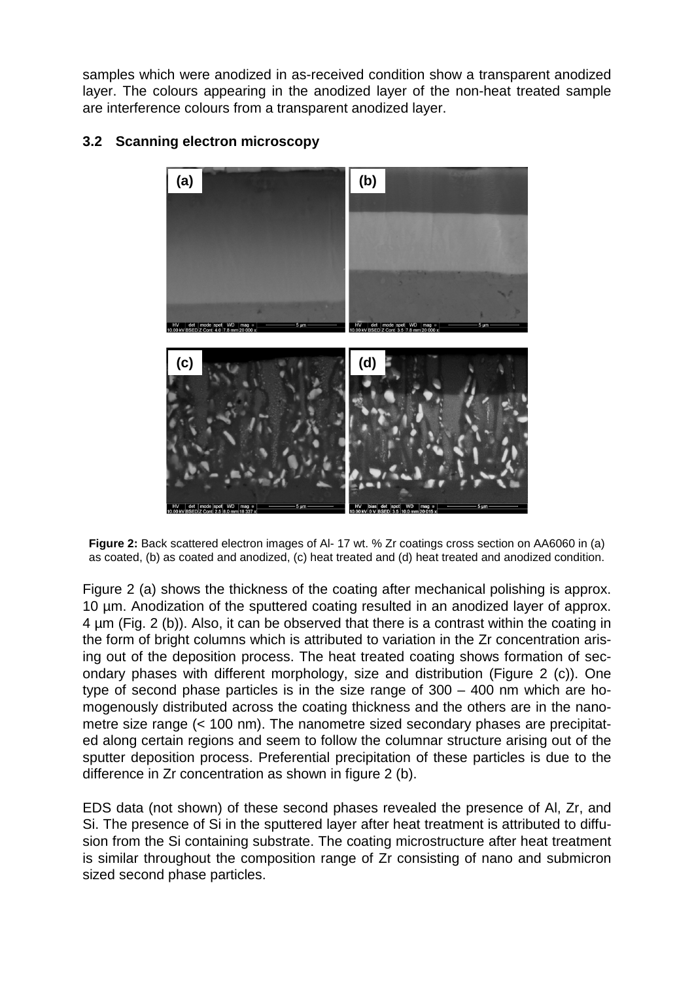samples which were anodized in as-received condition show a transparent anodized layer. The colours appearing in the anodized layer of the non-heat treated sample are interference colours from a transparent anodized layer.



## **3.2 Scanning electron microscopy**

**Figure 2:** Back scattered electron images of Al- 17 wt. % Zr coatings cross section on AA6060 in (a) as coated, (b) as coated and anodized, (c) heat treated and (d) heat treated and anodized condition.

Figure 2 (a) shows the thickness of the coating after mechanical polishing is approx. 10 µm. Anodization of the sputtered coating resulted in an anodized layer of approx. 4 µm (Fig. 2 (b)). Also, it can be observed that there is a contrast within the coating in the form of bright columns which is attributed to variation in the Zr concentration arising out of the deposition process. The heat treated coating shows formation of secondary phases with different morphology, size and distribution (Figure 2 (c)). One type of second phase particles is in the size range of 300 – 400 nm which are homogenously distributed across the coating thickness and the others are in the nanometre size range (< 100 nm). The nanometre sized secondary phases are precipitated along certain regions and seem to follow the columnar structure arising out of the sputter deposition process. Preferential precipitation of these particles is due to the difference in Zr concentration as shown in figure 2 (b).

EDS data (not shown) of these second phases revealed the presence of Al, Zr, and Si. The presence of Si in the sputtered layer after heat treatment is attributed to diffusion from the Si containing substrate. The coating microstructure after heat treatment is similar throughout the composition range of Zr consisting of nano and submicron sized second phase particles.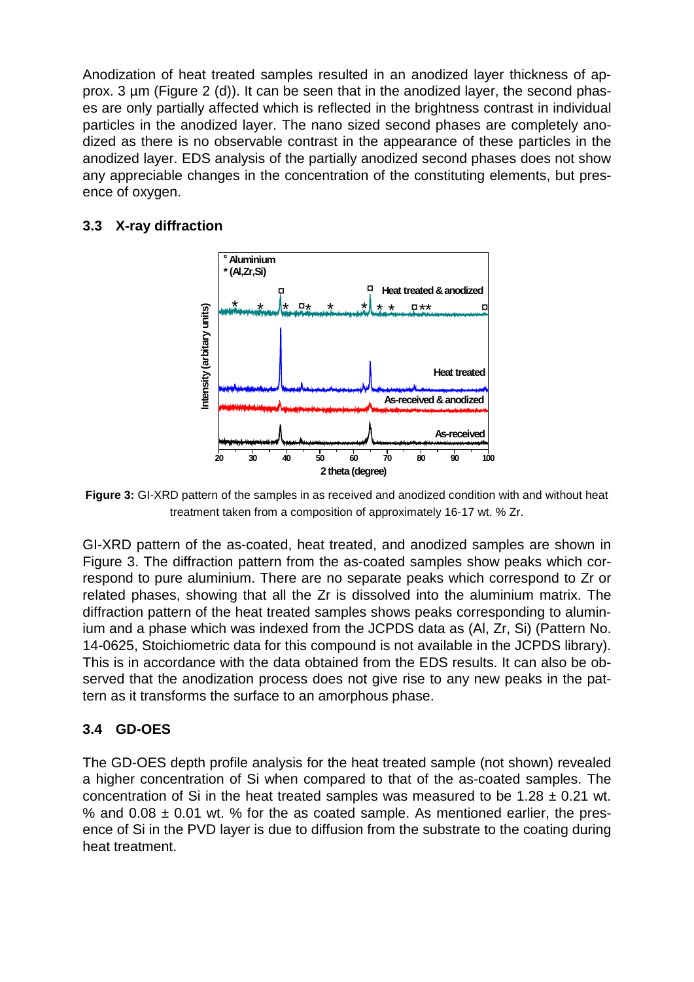Anodization of heat treated samples resulted in an anodized layer thickness of approx. 3 µm (Figure 2 (d)). It can be seen that in the anodized layer, the second phases are only partially affected which is reflected in the brightness contrast in individual particles in the anodized layer. The nano sized second phases are completely anodized as there is no observable contrast in the appearance of these particles in the anodized layer. EDS analysis of the partially anodized second phases does not show any appreciable changes in the concentration of the constituting elements, but presence of oxygen.

### **3.3 X-ray diffraction**



**Figure 3:** GI-XRD pattern of the samples in as received and anodized condition with and without heat treatment taken from a composition of approximately 16-17 wt. % Zr.

GI-XRD pattern of the as-coated, heat treated, and anodized samples are shown in Figure 3. The diffraction pattern from the as-coated samples show peaks which correspond to pure aluminium. There are no separate peaks which correspond to Zr or related phases, showing that all the Zr is dissolved into the aluminium matrix. The diffraction pattern of the heat treated samples shows peaks corresponding to aluminium and a phase which was indexed from the JCPDS data as (Al, Zr, Si) (Pattern No. 14-0625, Stoichiometric data for this compound is not available in the JCPDS library). This is in accordance with the data obtained from the EDS results. It can also be observed that the anodization process does not give rise to any new peaks in the pattern as it transforms the surface to an amorphous phase.

# **3.4 GD-OES**

The GD-OES depth profile analysis for the heat treated sample (not shown) revealed a higher concentration of Si when compared to that of the as-coated samples. The concentration of Si in the heat treated samples was measured to be  $1.28 \pm 0.21$  wt. % and  $0.08 \pm 0.01$  wt. % for the as coated sample. As mentioned earlier, the presence of Si in the PVD layer is due to diffusion from the substrate to the coating during heat treatment.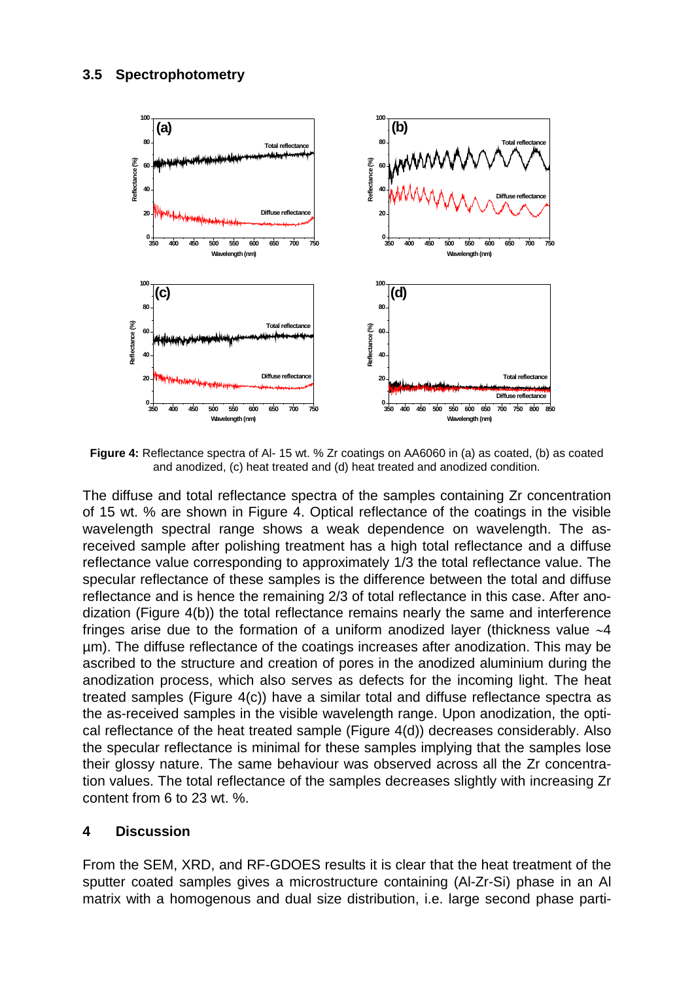

**Figure 4:** Reflectance spectra of Al- 15 wt. % Zr coatings on AA6060 in (a) as coated, (b) as coated and anodized, (c) heat treated and (d) heat treated and anodized condition.

The diffuse and total reflectance spectra of the samples containing Zr concentration of 15 wt. % are shown in Figure 4. Optical reflectance of the coatings in the visible wavelength spectral range shows a weak dependence on wavelength. The asreceived sample after polishing treatment has a high total reflectance and a diffuse reflectance value corresponding to approximately 1/3 the total reflectance value. The specular reflectance of these samples is the difference between the total and diffuse reflectance and is hence the remaining 2/3 of total reflectance in this case. After anodization (Figure 4(b)) the total reflectance remains nearly the same and interference fringes arise due to the formation of a uniform anodized layer (thickness value ∼4 µm). The diffuse reflectance of the coatings increases after anodization. This may be ascribed to the structure and creation of pores in the anodized aluminium during the anodization process, which also serves as defects for the incoming light. The heat treated samples (Figure 4(c)) have a similar total and diffuse reflectance spectra as the as-received samples in the visible wavelength range. Upon anodization, the optical reflectance of the heat treated sample (Figure 4(d)) decreases considerably. Also the specular reflectance is minimal for these samples implying that the samples lose their glossy nature. The same behaviour was observed across all the Zr concentration values. The total reflectance of the samples decreases slightly with increasing Zr content from 6 to 23 wt. %.

### **4 Discussion**

From the SEM, XRD, and RF-GDOES results it is clear that the heat treatment of the sputter coated samples gives a microstructure containing (Al-Zr-Si) phase in an Al matrix with a homogenous and dual size distribution, i.e. large second phase parti-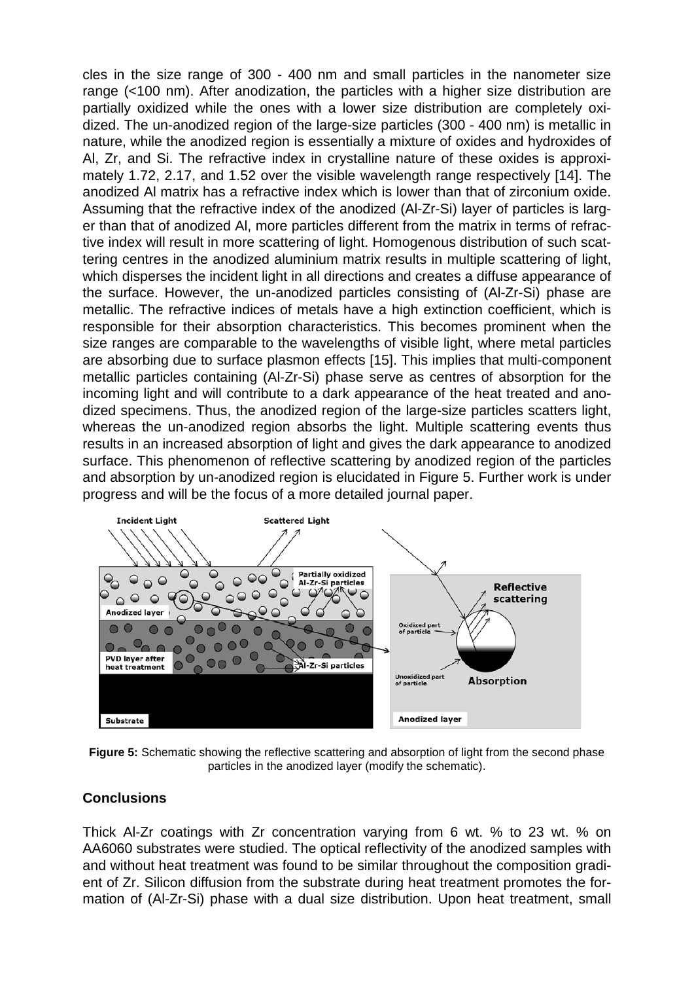cles in the size range of 300 - 400 nm and small particles in the nanometer size range (<100 nm). After anodization, the particles with a higher size distribution are partially oxidized while the ones with a lower size distribution are completely oxidized. The un-anodized region of the large-size particles (300 - 400 nm) is metallic in nature, while the anodized region is essentially a mixture of oxides and hydroxides of Al, Zr, and Si. The refractive index in crystalline nature of these oxides is approximately 1.72, 2.17, and 1.52 over the visible wavelength range respectively [14]. The anodized Al matrix has a refractive index which is lower than that of zirconium oxide. Assuming that the refractive index of the anodized (Al-Zr-Si) layer of particles is larger than that of anodized Al, more particles different from the matrix in terms of refractive index will result in more scattering of light. Homogenous distribution of such scattering centres in the anodized aluminium matrix results in multiple scattering of light, which disperses the incident light in all directions and creates a diffuse appearance of the surface. However, the un-anodized particles consisting of (Al-Zr-Si) phase are metallic. The refractive indices of metals have a high extinction coefficient, which is responsible for their absorption characteristics. This becomes prominent when the size ranges are comparable to the wavelengths of visible light, where metal particles are absorbing due to surface plasmon effects [15]. This implies that multi-component metallic particles containing (Al-Zr-Si) phase serve as centres of absorption for the incoming light and will contribute to a dark appearance of the heat treated and anodized specimens. Thus, the anodized region of the large-size particles scatters light, whereas the un-anodized region absorbs the light. Multiple scattering events thus results in an increased absorption of light and gives the dark appearance to anodized surface. This phenomenon of reflective scattering by anodized region of the particles and absorption by un-anodized region is elucidated in Figure 5. Further work is under progress and will be the focus of a more detailed journal paper.



**Figure 5:** Schematic showing the reflective scattering and absorption of light from the second phase particles in the anodized layer (modify the schematic).

### **Conclusions**

Thick Al-Zr coatings with Zr concentration varying from 6 wt. % to 23 wt. % on AA6060 substrates were studied. The optical reflectivity of the anodized samples with and without heat treatment was found to be similar throughout the composition gradient of Zr. Silicon diffusion from the substrate during heat treatment promotes the formation of (Al-Zr-Si) phase with a dual size distribution. Upon heat treatment, small